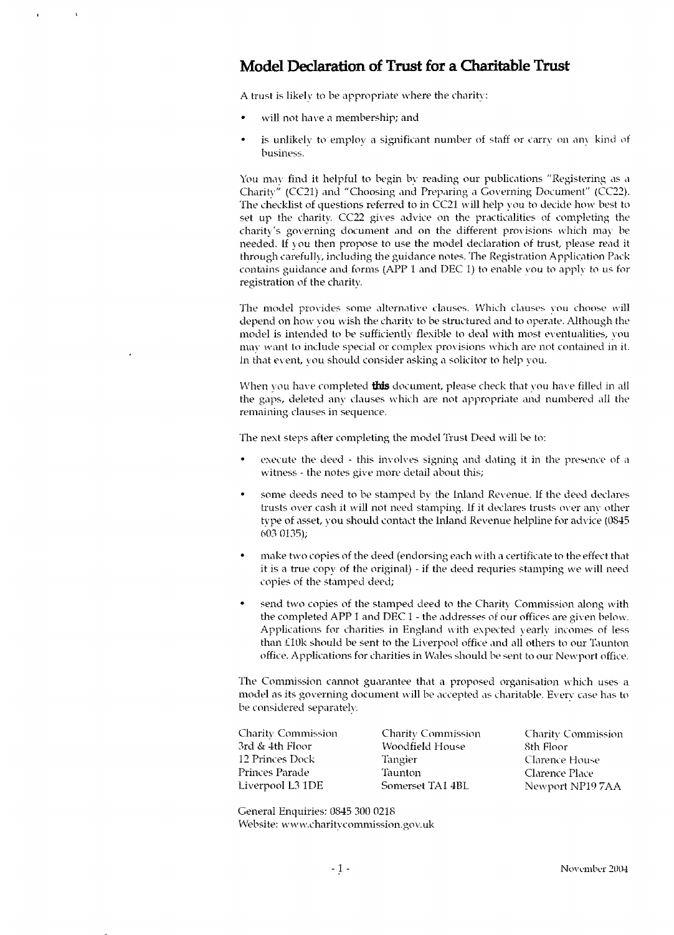# **Model Declaration of Trust for a Charitable Trust**

A trust is likely to *be* appropriate where the charity:

- will not have a membership; and
- is unlikely to employ a significant number of staff or carry on any kind of business.

You may find it helpful to begin by reading our publications "Registering as a Charity" (CC21) and "Choosing and Preparing a Governing Document" (CC22). The checklist of questions referred to in CC21 will help you to decide how best to set up the charity. CC22 gives advice on the practicalities of completing the charity's governing document and on the different provisions which may be needed. If you then propose to use the model declaration of trust, please read it through carefully, including the guidance notes. The Registration Application Pack contains guidance and forms (APP 1 and DEC 1) to enable vou to apply to us for registration of the charity.

The model provides some alternative clauses. Which clauses you choose will depend on how you wish the charity to be structured and to operate. Although the model is intended to be sufficiently flexible to deal with most eventualities, you may want to include special or complex provisions which are not contained in it. In that event, you should consider asking a solicitor to help you.

When you have completed **this** document, please check that you have filled in all the gaps, deleted any clauses which are not appropriate and numbered all the remaining clauses in sequence.

The next steps after completing the model Trust Deed will be to:

- execute the deed this involves signing and dating it in the presence of a witness - the notes give more detail about this;
- some deeds need to be stamped by the Inland Revenue. If the deed declares trusts over cash it will not need stamping, if it declares trusts over any other type of asset, you should contact the Inland Revenue helpline for advice (0845 603 0135);
- make two copies of the deed (endorsing each with a certificate to the effect that it is a true copy of the original) - if the deed requries stamping we will need copies of the stamped deed;
- send two copies of the stamped deed to the Charity Commission along with the completed APP 1 and DEC 1 - the addresses of our offices are given below. Applications for charities in England with expected yearly incomes of less than £10k should be sent to the Liverpool office and all others to our Taunton office. Applications for charities in Wales should be sent to our Newport office.

The Commission cannot guarantee that a proposed organisation which uses a model as its governing document will be accepted as charitable. Every case has to be considered separately.

| <b>Charity Commission</b> |
|---------------------------|
|                           |
| Clarence House            |
|                           |
| Newport NP197AA           |
|                           |

General Enquiries: 0845 300 0218 Website: www.charitycommission.gov.uk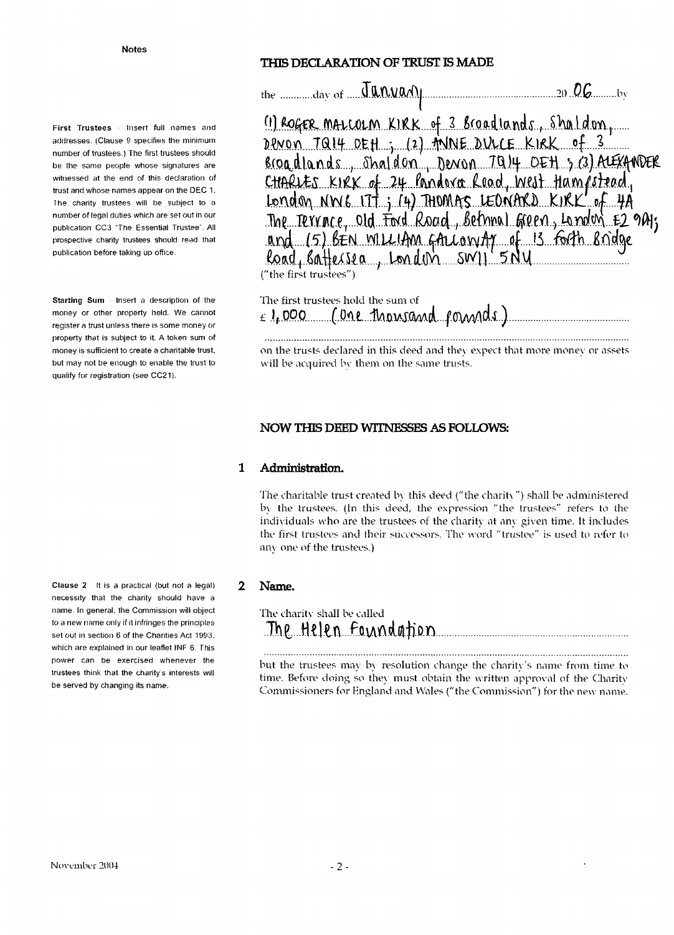First Trustees Insert full names and addresses. (Clause 9 specifies the minimum number of trustees.) The first trustees should be the same people whose signatures are witnessed at the end of this declaration of trust and whose names appear on the DEC 1. The charity trustees will be subject to a number of legal duties which are set out in our publication CC3 "The Essential Trustee". All prospective charity trustees should read that publication before taking up office.

Starting Sum Insert a description of the money or other property held. We cannot register a trust unless there is some money or property that is subject to it. A token sum of money is sufficient to create a charitable trust. but may not be enough to enable the trust to qualify for registration (see CC21).

Clause 2 It is a practical (but not a legal) necessity that the charity should have a name. In general, the Commission will object to a new name only if it infringes the principles set out in section 6 of the Charities Act 1993, which are explained in our leaflet INF 6. This power can be exercised whenever the trustees think that the charity's interests will be served by changing its name.

# THIS DECLARATION OF TRUST IS MADE

the  $\frac{d}{dx}$  of  $\frac{d}{dx}$   $\frac{d}{dx}$   $\frac{d}{dx}$ 

(1) ROGER MALCOLM KIRK of 3 Broadlands, Shaldon, DPNON TQ14 DEH ; (2) MINE DULCE KIRK of 3 Broadlands Shaldon, Denon 7014 OEH 3 (3) ALEXANDER CHARLES KIRK of 24 Pandova Road, West Hampstead, London NW6 177 j. (4) THOMAS LEONARD KIRK of 4A The Terrace, old Ford Road, Bernan Green, Landon E2 941; and 15) BEN WILLIAM GALLONIAY of 13 forth Bridge<br>Road, Battersea, London SWII 5Ny ("the first trustees")

| The first trustees hold the sum of |                                        |
|------------------------------------|----------------------------------------|
|                                    | $\epsilon$ 1,000 (one thousand founds) |

on the trusts declared in this deed and they expect that more money or assets will be acquired by them on the same trusts.

### NOW THIS DEED WITNESSES AS FOLLOWS:

#### $\mathbf{1}$ Administration.

The charitable trust created by this deed ("the charity") shall be administered by the trustees. (In this deed, the expression "the trustees" refers to the individuals who are the trustees of the charity at any given time. It includes the first trustees and their successors. The word "trustee" is used to refer to any one of the trustees.)

#### $\overline{2}$ Name.

The charity shall be called <u>The Helen Foundation</u>

but the trustees may by resolution change the charity's name from time to time. Before doing so they must obtain the written approval of the Charity Commissioners for England and Wales ("the Commission") for the new name.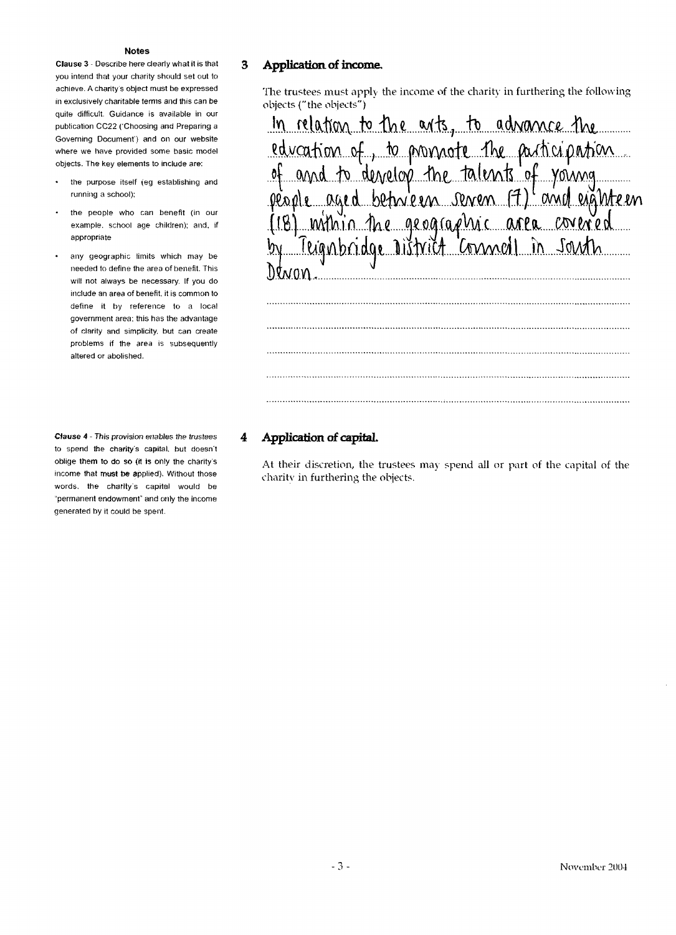**Clause 3** - Describe here clearly what it is that you intend that your charity should set out to achieve. A charity s object must be expressed in exclusively charitable terms and this can be quite difficult. Guidance is available in our publication CC22 ('Choosing and Preparing a Governing Document') and on our website where we have provided some basic model objects. The key elements to include are:

- the purpose itself (eg establishing and running a school):
- the people who can benefit (in our example, school age children): and. if appropriate
- any geographic limits which may be  $\bullet$ needed to define the area of benefit. This will not always be necessary. If you do include an area of benefit, it is common to define it by reference to a local government area: this has the advantage of clarity and simplicity, but can create problems if the area is subsequently altered or abolished.

**Clause 4** - This provision enables the trustees to spend the charity's capital, but doesn't oblige them to do so (it is only the charity's income that must be applied). Without those words, the charity's capital would be "permanent endowment" and only the income generated by it could be spent.

# **3 Application of income,**

The trustees must apply the income of the charity in furthering the following objects ("the objects")

| In relation to the arts, to advance the<br>education of, to promote the participation<br>of and to denotop the talents of young<br>people aged between serven (7) and eighteen<br>(18) mithin the geographic area covered<br>by Teignbridge District Connol in South<br>Dewon |
|-------------------------------------------------------------------------------------------------------------------------------------------------------------------------------------------------------------------------------------------------------------------------------|
|                                                                                                                                                                                                                                                                               |
|                                                                                                                                                                                                                                                                               |
|                                                                                                                                                                                                                                                                               |
|                                                                                                                                                                                                                                                                               |

# **4 Application of capital**

At their discretion, the trustees may spend all or part of the capital of the charity in furthering the objects.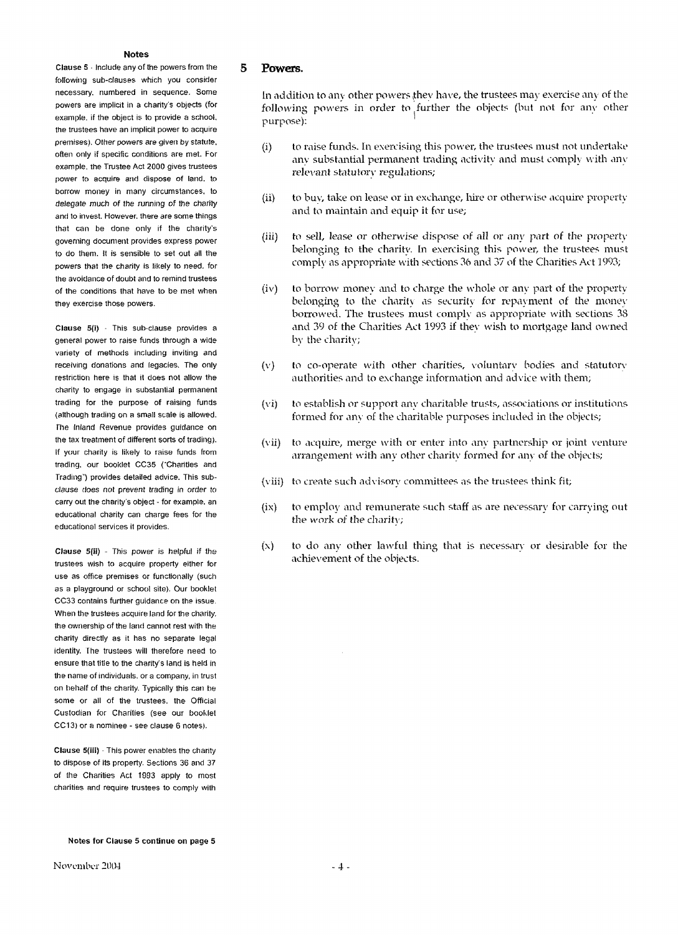Clause S - Include any of the powers from the following sub-clauses which you consider necessary, numbered in sequence. Some powers are implicit in a charity's objects (for example, if the object is to provide a school, the trustees have an implicit power to acquire premises). Other powers are given by statute, often only if specific conditions are met. For example, the Trustee Act 2000 gives trustees power to acquire and dispose of land, to borrow money in many circumstances, to delegate much of the running of the charity and to invest. However, there are some things that can be done only if the charity's governing document provides express power to do them. It is sensible to set out all the powers that the charity is likely to need, for the avoidance of doubt and to remind trustees of the conditions that have to be met when they exercise those powers.

Clause 5(i) - This sub-clause provides a general power to raise funds through a wide variety of methods including inviting and receiving donations and legacies. The only restriction here is that it does not allow the charity to engage in substantial permanent trading for the purpose of raising funds (although trading on a small scale is allowed. The Inland Revenue provides guidance on the tax treatment of different sorts of trading). If your charity is likely to raise funds from trading, our booklet CC35 ("Charities and Trading') provides detailed advice. This subclause does not prevent trading in order to carry out the charity's object - for example, an educational charity can charge fees for the educational services it provides.

Clause 5(ii) - This power is helpful if the trustees wish to acquire property either for use as office premises or functionally (such as a playground or school site). Our booklet CC33 contains further guidance on the issue. When the trustees acquire land for the charity, the ownership of the land cannot rest with the charity directly as it has no separate legal identity. The trustees will therefore need to ensure that title to the charity's land is held in the name of individuals, or a company, in trust on behalf of the charity. Typically this can be some or all of the trustees, the Official Custodian for Charities (see our booklet CC13) or a nominee - see clause 6 notes).

Clause 5(iii) - This power enables the charity to dispose of its property. Sections 36 and 37 of the Charities Act 1993 apply to most charities and require trustees to comply with

#### **5 Powers.**

In addition to any other powers they have, the trustees may exercise any of the following powers in order to further the objects (but not for any other purpose):

- (i) to raise funds. In exercising this power, the trustees must not undertake any substantial permanent trading activity and must comply with any relevant statutory regulations;
- (ii) to buy, take on lease or in exchange, hire or otherwise acquire property and to maintain and equip it for use;
- (iii) to sell, lease or otherwise dispose of all or any part of the property belonging to the charity. In exercising this power, the trustees must comply as appropriate with sections 36 and 37 of the Charities Act 1993;
- (iv) to borrow money and to charge the whole or any part of the property belonging to the charity as security for repayment of the money borrowed. The trustees must comply as appropriate with sections 38 and 39 of the Charities Act 1993 if they wish to mortgage land owned by the charity;
- (v) to co-operate with other charities, voluntarv bodies and statutory' authorities and to exchange information and advice with them;
- (vi) to establish or support any charitable trusts, associations or institutions formed for any of the charitable purposes included in the objects;
- (vii) to acquire, merge with or enter into any partnership or joint venture arrangement with any other charity formed for any of the objects;
- (viii) to create such advisory committees as the trustees think fit;
- (ix) to employ and remunerate such staff as are necessary for carrying out the work of the charity;
- $(x)$  to do any other lawful thing that is necessary or desirable for the achievement of the objects.

**Notes for Clause 5 continue on page 5**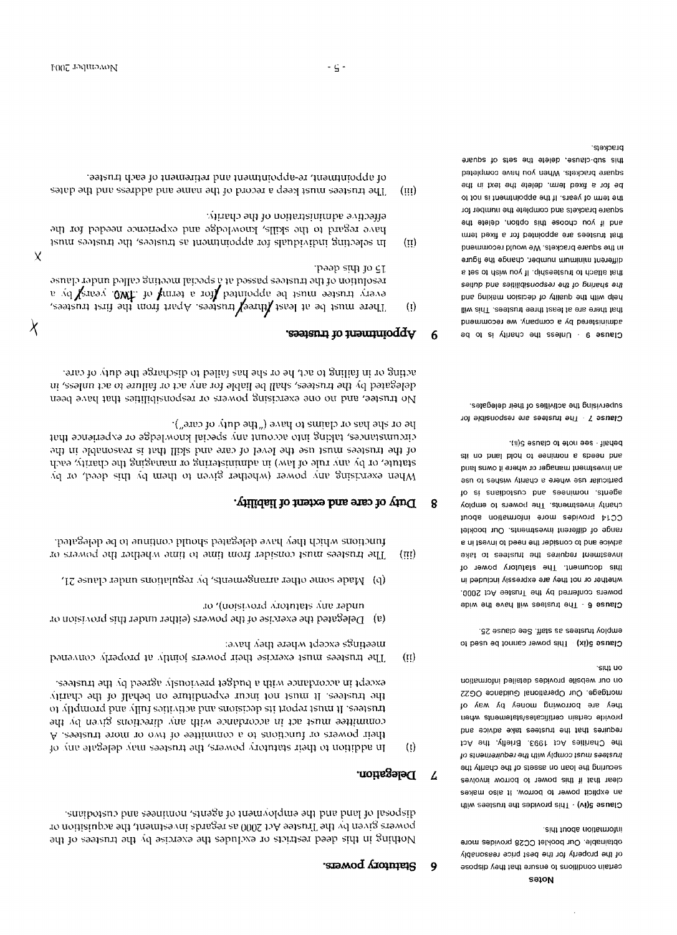eidi tuods noitsmotni. obtainable. Our booklet CC28 provides more of the property for the best price reasonably esoqaib venditions to ensure that they dispose

sidt no on our website provides detailed information mortgage. Our Operational Guidance OG22 they are borrowing money by way of provide certain certificates/astements when requires that the trustees take advice and the Charities Act 1993. Briefly, the Act to strement comply with the requirements of securing the loan on asses of the charity the clear that it this power to borrow involves an explicit power to borrow. It also makes Clause 5(iv) - This provides the trustees with

employ trustees as staff. See clause 25. Clause 5(ix) This power cannot be used to

behalf - see note to clause 5(ii). zii no bnsl blod of eenimon s zbeen bns an investment manager or where it owns land particular use where a charity wishes to use to at ensibotaup bns eeenimon letrege charity investments. The powers to employ CC14 provides more information about range of different investments. Our booklet a ni teavni of been ent nebianop of bris solvbs skst of zeetzunt edt zeniuper friemtzevni this document. The statutory power of whether or not they are expressly included in powers conferred by the Trustee Act 2000. Clause 6 - The trustees will have the wide

setspeleb tient to seitivities of their delegates. Clause 7 - The trustees are responsible for

prackets. this sub-clanse, delete the sets of square square brackets. When you have completed be for a fixed ferm, delete the text in the the term of years. If the appointment it in the square brackets and complete the number for and if you choose this option, delete the imet bexit s tot befinoqds ets seefsutt fami in the square brackets. We would recommend different mummum number, change the figure ther sinsul to finaleseism in Non miab to set st tention of the responsibilities and duties help with the quality of decision making and ling and are at least three trustees. This will administered by a company, we recommend Clause 9 - Unless the charity is to be

#### Statutory powers. 9

sugipoteno bind and the employment of agents, nominees and custodians. po motifistupos eft die frustee Act 2000 as regards investment, the acquisition or Nothing in this deed restricts or excludes the exercise by the trustees of the

#### Delegation. 4

- -saajsnii atli yo baarge visuoivarq fagbud a diiw abusbroom ni fqabxa the trustees. It must not incur expendition on behalf of the charity of vilquiorq bin villal estitvitos bin activities bin troqor taun il .esstant committee must act in accordance with any directions given by the their powers or functions to a committee of two or more trustees. A  $\left($ ! $\right)$ In addition to their statutory powers, the trustees may delegate any of
- элец лэцгэлэцм 1дээхэ звинээш The trustees must exercise their powers jointly at property convened  $(i)$
- to '(troisivoid alroiniers are rapun (a) Delegated the exercise of the powers (either under this provision or
- (q) Made some other arrangements, by regulations under clause 21,
- functions which they have delegated should continue to be delegated. The trustees must consider from time to time whether the powers or  $(\overline{\mathfrak{m}})$

#### Duty of care and extent of liability. 8

le or she has or claims to have ("the duty of care"). circumstances, taking into account any special knowledge or experience that of the trustees must use the loved of care and skill like reasonable in the statue, or by any rule of law) in administering or managing the charity, each When exercising any power (whether given to them by this deed, or by

aring or in failing to act, he or she has failed to discharge the duty of care. delegated by the trueses, shall be liable for any act or failure to act unless, in No trustee, and no one exercising powers or responsibilities that have been

#### Appointment of trustees. 6

- T5 of this deed. resolution of the true<br>resolution of the true especial at a special meeting called under clause<br>resolution of the must be appointed for a term<br>of the same clause There must be at least Hureey trustees. Apart from the first trustees,  $(i)$
- effective administration of the charity. pure regard to the skills, knowledge and experience needed for the In selecting individuals for appointment as trustees, the trustees must  $(i)$
- of appointment, re-appointment and retirement of each trustee. The trustees must keep a record of the manne and adrhess and the dates  $(iii)$

X

 $\lambda$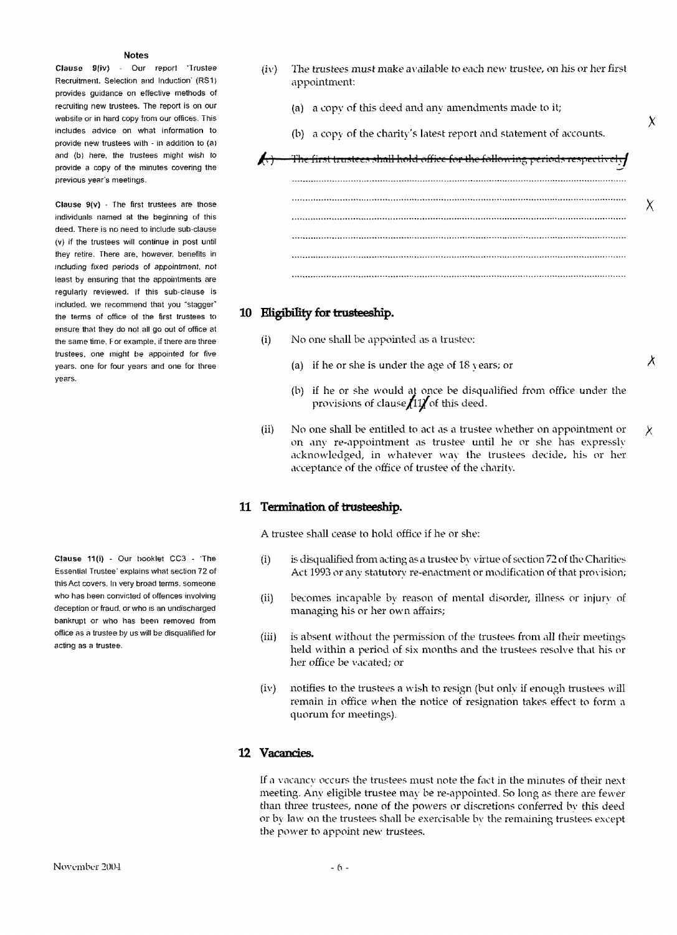Clause 9(iv) - Our report 'Trustee Recruitment. Selection and Induction' (RS1) provides guidance on effective methods of recruiting new trustees. The report is on our website or in hard copy from our offices. This includes advice on what information to provide new trustees with - in addition to (a) and (b) here, the trustees might wish to provide a copy of the minutes covering the previous year's meetings.

Clause 9(v) - The first trustees are those individuals named at the beginning of this deed. There is no need to include sub-clause (v) if the trustees will continue in post until they retire. There are, however, benefits in including fixed periods of appointment, not least by ensuring that the appointments are regularly reviewed. If this sub-clause is included, we recommend that you "stagger" the terms of office of the first trustees to ensure that they do not all go out of office at the same time. F or example, if there are three trustees, one might be appointed for five years, one for four years and one for three years.

Clause 11(i) - Our booklet CC3 - 'The Essential Trustee' explains what section 72 of this Act covers. In very broad terms, someone who has been convicted of offences involving deception or fraud, or who is an undischarged bankrupt or who has been removed from office as a trustee by us will be disqualified for acting as a trustee.

- (iv) The trustees must make available to each new trustee, on his or her first appointment:
	- (a) a copy of this deed and any amendments made to it;
	- (b) a copy of the charity's latest report and statement of accounts.

X

A



# **10 Higibiliiy for trusteeship.**

- (i) No one shall be appointed as a trustee:
	- (a) if he or she is under the age of  $18$  years; or
	- (b) if he or she would at once be disqualified from office under the provisions of clause $f(1)$  of this deed.
- (ii) No one shall be entitled to act as a trustee whether on appointment or on any re-appointment as trustee until he or she has expressly acknowledged, in whatever way the trustees decide, his or her acceptance of the office of trustee of the charity. X,

## **11 Termination of trusteeship.**

A trustee shall cease to hold office if he or she:

- (i) is disqualified from acting as a trustee by virtue of section *72* of the Charities Act 1993 or any statutory re-enactment or modification of that provision;
- (ii) becomes incapable by reason of mental disorder, illness or injurv of managing his or her own affairs;
- (iii) is absent without the permission of the trustees from all their meetings held within a period of six months and the trustees resolve that his or her office be vacated; or
- (iv) notifies to the trustees a wish to resign (but only if enough trustees will remain in office when the notice of resignation takes effect to form a quorum for meetings).

# **12 Vacancies.**

If a vacancy occurs the trustees must note the fact in the minutes of their next meeting. Any eligible trustee may be re-appointed. So long as there are fewer than three trustees, none of the powers or discretions conferred bv this deed or by law on the trustees shall be exercisable bv the remaining trustees except the power to appoint new trustees.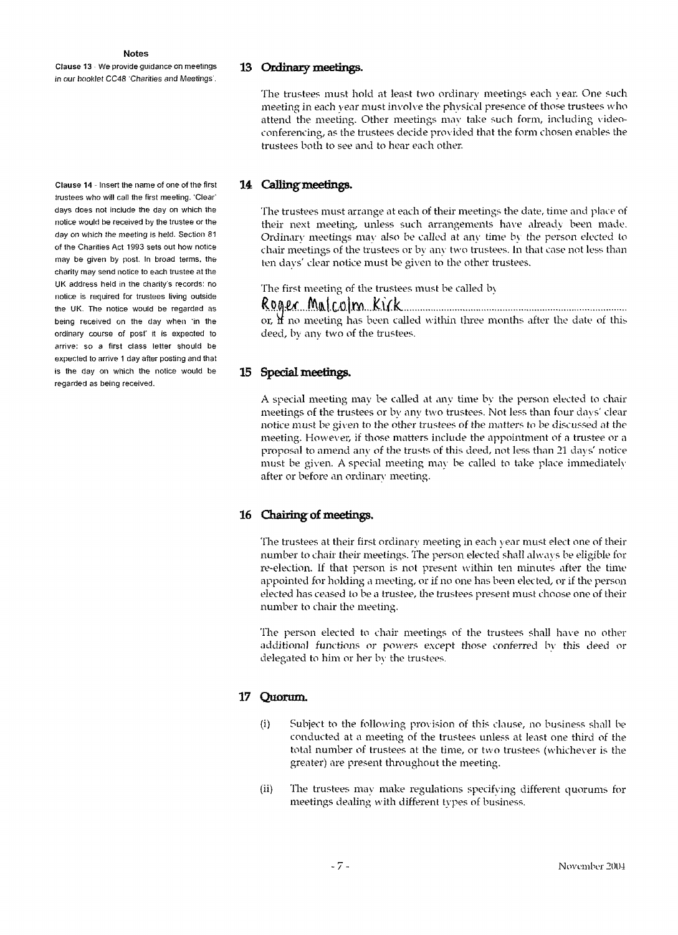Clause 13 We provide guidance on meetings in our booklet CC48 'Charities and Meetings .

#### 13 Ordinary meetings.

The trustees must hold at least two ordinary meetings each year. One such meeting in each year must involve the physical presence of those trustees who attend the meeting. Other meetings may take such form, including videoconferencing, as the trustees decide provided that the form chosen enables the trustees both to see and to hear each other.

### 14 Calling meetings.

The trustees must arrange at each of their meetings the date, time and place of their next meeting, unless such arrangements have already been made. Ordinary meetings may also be called at any time by the person elected to chair meetings of the trustees or by any two trustees. In that case not less than ten days' clear notice must be given to the other trustees.

The first meeting of the trustees must be called by

# Roger Malcolm Kirk

or,  $\mathbf{\hat{H}}$  no meeting has been called within three months after the date of this deed, by any two of the trustees.

### **15 Special meetings.**

A special meeting may be called at any time by the person elected to chair meetings of the trustees or by any two trustees. Not less than four days' clear notice must be given to the other trustees of the matters to be discussed at the meeting. However, if those matters include the appointment of a trustee or a proposal to amend any of the trusts of this deed, not less than 21 days' notice must be given. A special meeting may be called to take place immediately after or before an ordinary meeting.

### 16 Chairing of meetings.

The trustees at their first ordinary meeting in each year must elect one of their number to chair their meetings. The person elected shall always be eligible for re-election. If that person is not present within ten minutes after the time appointed for holding a meeting, or if no one has been elected, or if the person elected has ceased to be a trustee, the trustees present must choose one of their number to chair the meeting.

The person elected to chair meetings of the trustees shall have no other additional functions or powers except those conferred by this deed or delegated to him or her bv the trustees.

### **17 Quorum.**

- (i) Subject to the following provision of this clause, no business shall be conducted at a meeting of the trustees unless at least one third of the total number of trustees at the time, or two trustees (whichever is the greater) are present throughout the meeting.
- (ii) The trustees may make regulations specifying different quorums for meetings dealing with different types of business.

**Clause 14** - Insert the name of one of the first trustees who will call the first meeting. 'Clear' days does not include the day on which the notice would be received by the trustee or the day on which the meeting is held. Section 81 of the Charities Act 1993 sets out how notice may be given by post. In broad terms, the charity may send notice to each trustee at the UK address held in the charity's records: no notice is required for trustees living outside the UK. The notice would be regarded as being received on the day when 'in the ordinary course of post' it is expected to arrive: so a first class letter should be expected to arrive 1 day after posting and that is the day on which the notice would be regarded as being received.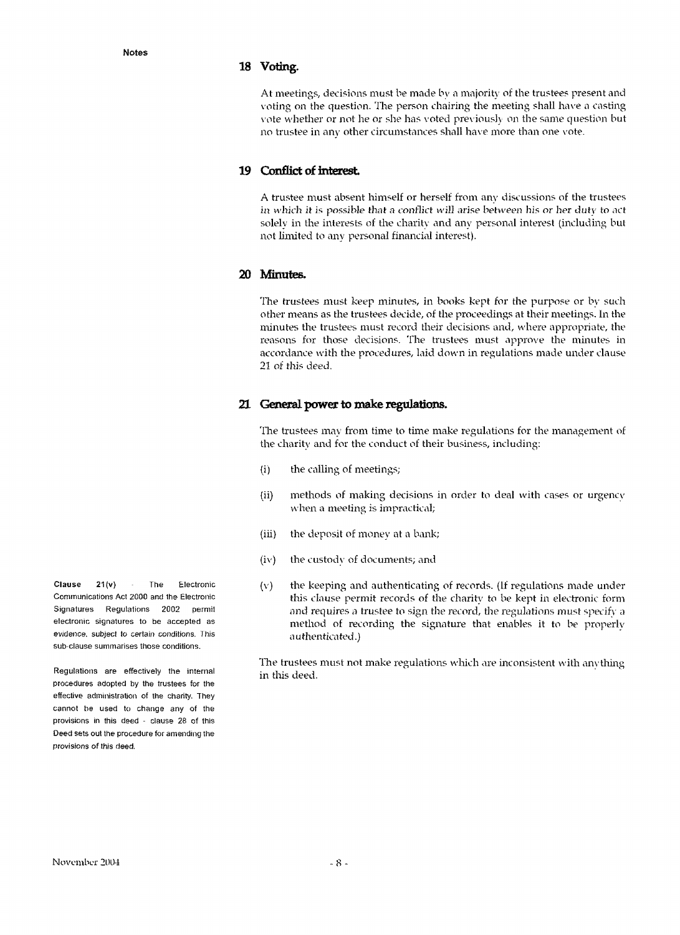#### **18 Voting.**

At meetings, decisions must be made by a majority of the trustees present and voting on the question. The person chairing the meeting shall have a casting vote whether or not he or she has voted previously on the same question but no trustee in any other circumstances shall have more than one vote.

### **19 Conflict of interest**

A trustee must absent himself or herself from any discussions of the trustees in which it is possible that a conflict will arise between his or her duty to act solely in the interests of the charity and any personal interest (including but not limited to any personal financial interest).

## **20 Minutes.**

The trustees must keep minutes, in books kept for the purpose or by such other means as the trustees decide, of the proceedings at their meetings, in the minutes the trustees must record their decisions and, where appropriate, the reasons for those decisions. The trustees must approve the minutes in accordance with the procedures, laid down in regulations made under clause 21 of this deed.

### **21 General power to make regulatior»s.**

The trustees may from time to time make regulations for the management of the charity and for the conduct of their business, including:

- (i) the calling of meetings;
- (ii) methods of making decisions in order to deal with cases or urgency when a meeting is impractical;
- (iii) the deposit of money at a bank;
- (iv) the custody of documents; and
- (v) the keeping and authenticating of records. (If regulations made under this clause permit records of the charity to be kept in electronic form and requires a trustee to sign the record, the regulations must specify a method of recording the signature that enables it to be properly authenticated.)

The trustees must not make regulations which are inconsistent with anything in this deed.

**Clause 21(v)** The Electronic Communications Act 2000 and the Electronic Signatures Regulations 2002 permit electronic signatures to be accepted as evidence, subject to certain conditions. This sub-clause summarises those conditions.

Regulations are effectively the internal procedures adopted by the trustees for the effective administration of the charity. They cannot be used to change any of the provisions in this deed - clause 28 of this Deed sets out the procedure for amending the provisions of this deed.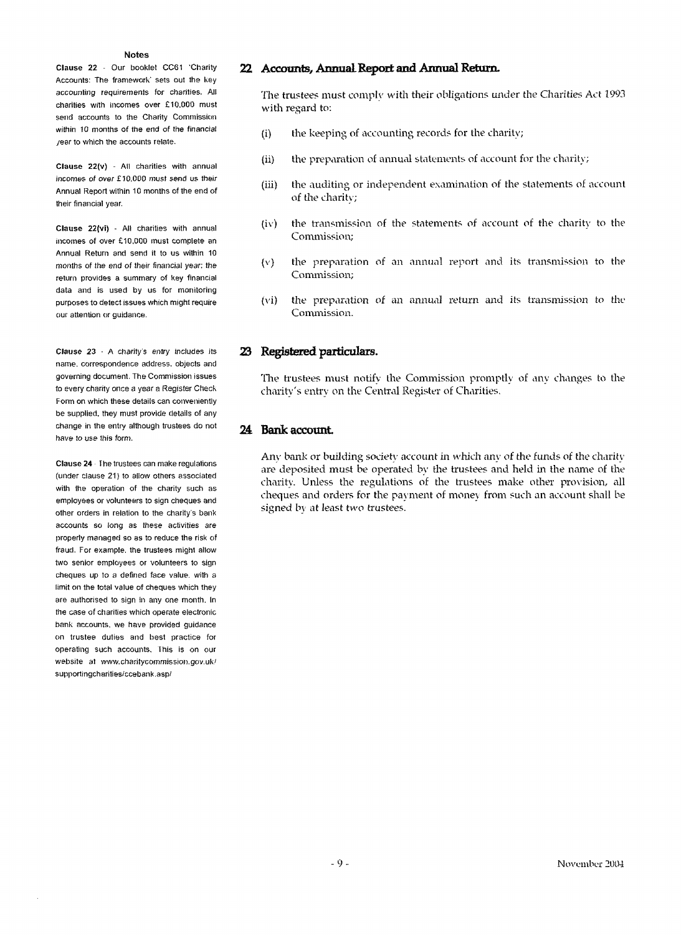Clause 22 - Our booklet CC61 'Charity Accounts: The framework' sets out the key accounting requirements for charities. All charities with incomes over £10.000 must send accounts to the Charity Commission within 10 months of the end of the financial /ear to which the accounts relate.

Clause 22(v) - All charities with annual incomes of over £10.000 must send us their Annual Report within 10 months of the end of their financial year.

Clause 22(vi) - All charities with annual incomes of over £10.000 must complete an Annual Return and send it to us within 10 months of the end of their financial year: the return provides a summary of key financial data and is used by us for monitoring purposes to detect issues which might require our attention or guidance.

Clause 23 - A charity's entry includes its name, correspondence address, objects and governing document. The Commission issues to every charity once a year a Register Check Form on which these details can conveniently be supplied, they must provide details of any change in the entry although trustees do not have to use this form.

Clause 24 The trustees can make regulations (under clause 21) to allow others associated with the operation of the charity such as employees or volunteers to sign cheques and other orders in relation to the charity's bank accounts so long as these activities are properly managed so as to reduce the risk of fraud. For example, the trustees might allow two senior employees or volunteers to sign cheques up to a defined face value, with a limit on the total value of cheques which they are authorised to sign in any one month. In the case of charities which operate electronic bank accounts, we have provided guidance on trustee duties and best practice for operating such accounts, this is on our website at www.charitycommission.gov.uk/ supportingcharities/ccebank.asp/

#### **22 Accounts/ Annual Report and Annual Return.**

The trustees must comply-with their obligations under the Charities Act 1993 with regard to:

- (i) the keeping of accounting records for the charity;
- (ii) the preparation of annual statements of account for the charity;
- (iii) the auditing or independent examination of the statements of account of the charity;
- (iv) the transmission of the statements of account of the charity to the Commission;
- (v) the preparation of an annual report and its transmission to the Commission;
- (vi) the preparation of an annual return and its transmission to the Commission.

## **23 Registered particulars.**

The trustees must notify the Commission promptly of any changes to the charity's entry on the Central Register of Charities.

### **24 Bank account**

Any bank or building society account in which any of the funds of the charity are deposited must be operated by the trustees and held in the name of the charity. Unless the regulations of the trustees make other provision, all cheques and orders for the payment of money from such an account shall be signed by at least two trustees.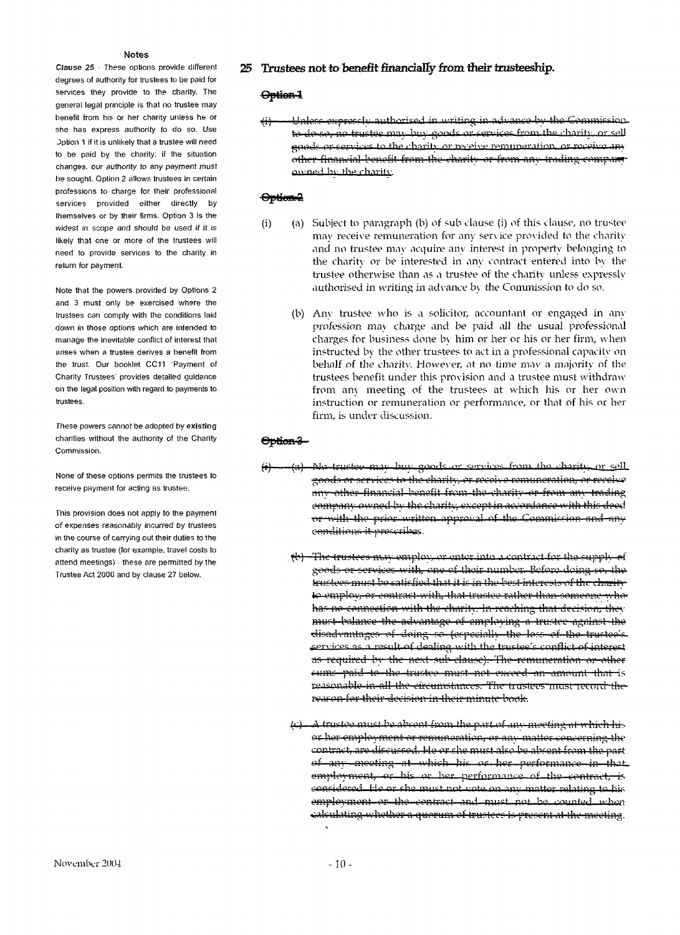**Clause 25** - These options provide different degrees of authority for trustees to be paid for services they provide to the charity. The general legal principle is that no trustee may benefit from his or her charity unless he or she has express authority to do so. Use Jption 1 if it is unlikely that a trustee will need to be paid by the charity: if the situation changes, our authority to any payment must he sought. Option 2 allows trustees in certain professions to charge for their professional services provided either directly by themselves or by their firms. Option 3 is the widest in scope and should be used if it is likely that one or more of the trustees will need to provide services to the charity in return for payment.

Note that the powers provided by Options 2 and 3 must only be exercised where the trustees can comply with the conditions laid down in those options which are intended to manage the inevitable conflict of interest that arises when a trustee derives a benefit from the trust. Our booklet CC11 'Payment of Charity Trustees' provides detailed guidance on the legal position with regard to payments to trustees.

These powers cannot be adopted by **existing** charities without the authority of the Charity Commission.

None of these options permits the trustees to receive payment for acting as trustee.

This provision does not apply to the payment of expenses reasonably incurred by trustees in the course of carrying out their duties to the charity as trustee (for example, travel costs to attend meetings) - these are permitted by the Trustee Act 2000 and by clause 27 below.

#### **25 Trustees not to benefit financially from Iheir trusteeship.**

# Option-1

<del>(i) — Unless expressly authorised in writing in advance by the Commission</del> to do so, no trustee may buy goods or services from the charity, or sell ,<br><del>other financial benefit from the charity or from any trading company</del> <u>awned by the charity</u> goods or services to the charity or receive remuneration, or receive any

# $\Theta$ ptien-2

- (i) (a) Subject to paragraph (b) of sub clause (i) of this clause, no trustee may receive remuneration for any service provided to the charity and no trustee may acquire any interest in property belonging to the charity or be interested in any contract entered into by the trustee otherwise than as a trustee of the charity unless expressly authorised in writing in advance by the Commission to do so.
	- (b) Any trustee who is a solicitor, accountant or engaged in any profession may charge and be paid all the usual professional charges for business done by him or her or his or her firm, when instructed by the other trustees to act in a professional capacity on behalf of the charity. However, at no time may a majority of the trustees benefit under this provision and a trustee must withdraw from any meeting of the trustees at which his or her own instruction or remuneration or performance, or that of his or her firm, is under discussion.

#### <del>Option 3 -</del>

- <del>(i</del>) (a). No trustee may buy goods or services from the charity, or sell goods or services to the charity, or recoive remuneration, or receive ther financial benefit from the charity-orcompany owned by the charity, except in accordance with this deed or with the prior written approval of the Commission and any conditions it prescribes.
	- ^)—The trujjlcca may omplov; or enter into .1 '.ronti'iict for the rupplv *#i* goods or services with, one of their number. Before doing so, the tructoos must be satisfied that it is in the best interests of the charity ki employ, or contract with, that trustee rather than someone who' has no connection with the charity. In reaching that decision, they must balance the advantage of employing a trustee against the disadvantages of doing so (especially the loss of the trustee's services as a result of dealing with the trustee's conflict of interest as required by the next sub-clause). The remuneration or other cums paid to the trustee must not exceed an amount that is reasonable in all the circumstances. The trustees must record the reason for their decision in their minute boak.
	- A trustee must be absent from the part of any meeting nt which his or her employment or remuneration, or any matter concerning the contract, are discussed. He or she must also be absent from the part hich his or her pe  $empl$ oyment, or his or her performance of the contract; considered. He or she must not vote on any matter relating to his  $emplovment-or-tho-contract-and-must-mot-to-counted with$ calculating whothor a quorum of trustees is present at the mooting.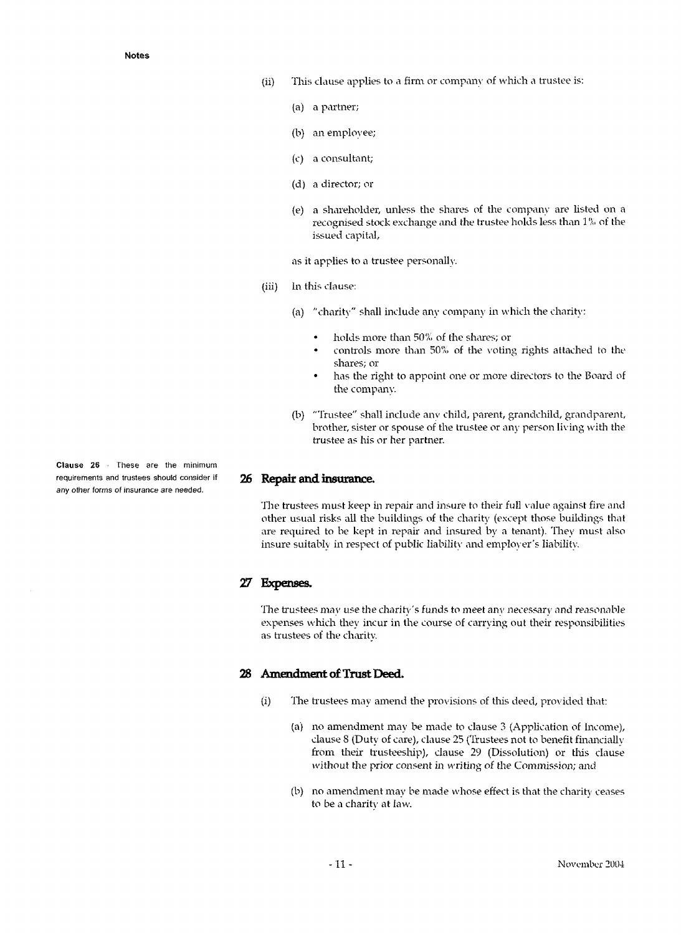- (ii) This clause applies to a firm or company of which a trustee is:
	- (a) a partner;
	- (b) an employee;
	- (c) a consultant;
	- (d) a director; or
	- (e) a shareholder, unless the shares of the company are listed on a recognised stock exchange and the trustee holds less than 1% of the issued capital,

as it applies to a trustee personally,

- (iii) In this clause:
	- (a) "charity" shall include any company in which the charity:
		- holds more than 50% of the shares; or
		- controls more than 50% of the voting rights attached to the shares; or
		- has the right to appoint one or more directors to the Board of the company.
	- (b) "Trustee" shall include anv child, parent, grandchild, grandparent, brother, sister or spouse of the trustee or any person living with the trustee as his or her partner.

### **26 Repair and insurance.**

The trustees must keep in repair and insure to their full value against fire and other usual risks all the buildings of the charity (except those buildings that are required to be kept in repair and insured by a tenant). They must also insure suitably in respect of public liability and employer's liability.

# *27* **Expenses.**

The trustees may use the charity's funds to meet anv necessary and reasonable expenses which they incur in the course of carrying out their responsibilities as trustees of the charity.

### **28 Amendment of Trust Deed.**

- (i) The trustees may amend the provisions of this deed, provided that:
	- (a) no amendment may be made to clause 3 (Application of Income), clause *8* (Duty of care), clause 25 (Trustees not to benefit financially from their trusteeship), clause 29 (Dissolution) or this clause without the prior consent in writing of the Commission; and
	- (b) no amendment may be made whose effect is that the charity ceases to be a charity at law.

**Clause 26** - These are the minimum requirements and trustees should consider if any other forms of insurance are needed.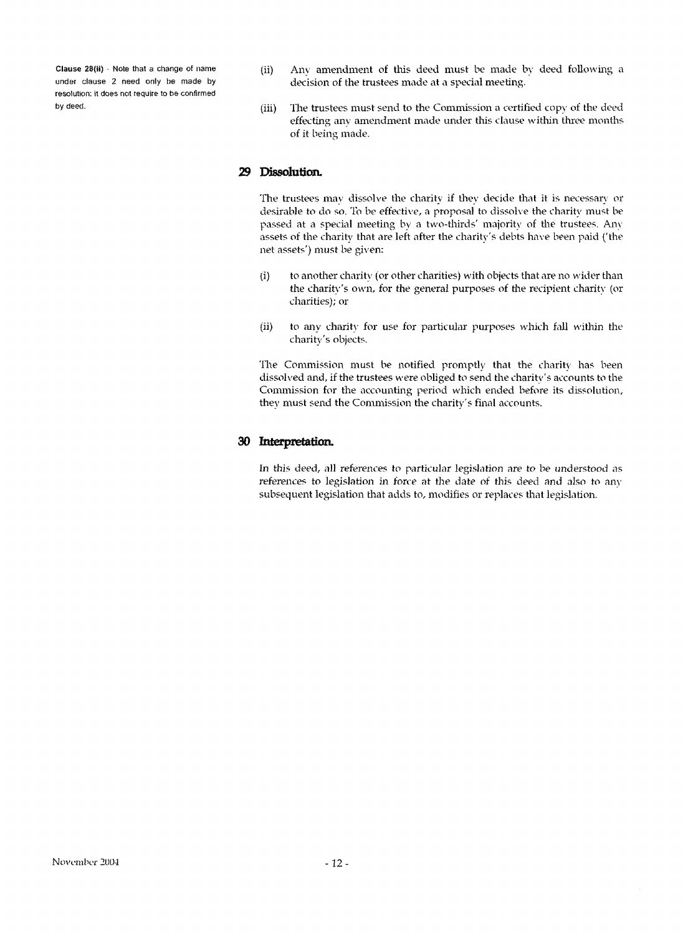**Clause** 28(ii) - Note that a change of name under clause 2 need only be made by resolution: it does not require to be confirmed by deed.

- (ii) Any amendment of this deed must be made by deed following a decision of the trustees made at a special meeting.
- (iii) The trustees must send to the Commission a certified copy of the deed effecting any amendment made under this clause within three months of it being made.

# **29 Dissolution.**

The trustees may dissolve the charity if they decide that it is necessary or desirable to do so. To be effective, a proposal to dissolve the charity must be passed at a special meeting by a two-thirds' majority of the trustees. Any assets of the charity that are left after the charity's debts have been paid ('the net assets') must be given:

- (i) to another charity (or other charities) with objects that are no wider than the charity's own, for the general purposes of the recipient charity (or charities); or
- (ii) to any charity for use for particular purposes which fall within the charity's objects.

The Commission must be notified promptly that the charity has been dissolved and, if the trustees were obliged to send the charity's accounts to the Commission for the accounting period which ended before its dissolution, they must send the Commission the charity's final accounts.

# **30 Interpretation.**

In this deed, all references to particular legislation are to be understood as references to legislation in force at the date of this deed and also to any subsequent legislation that adds to, modifies or replaces that legislation.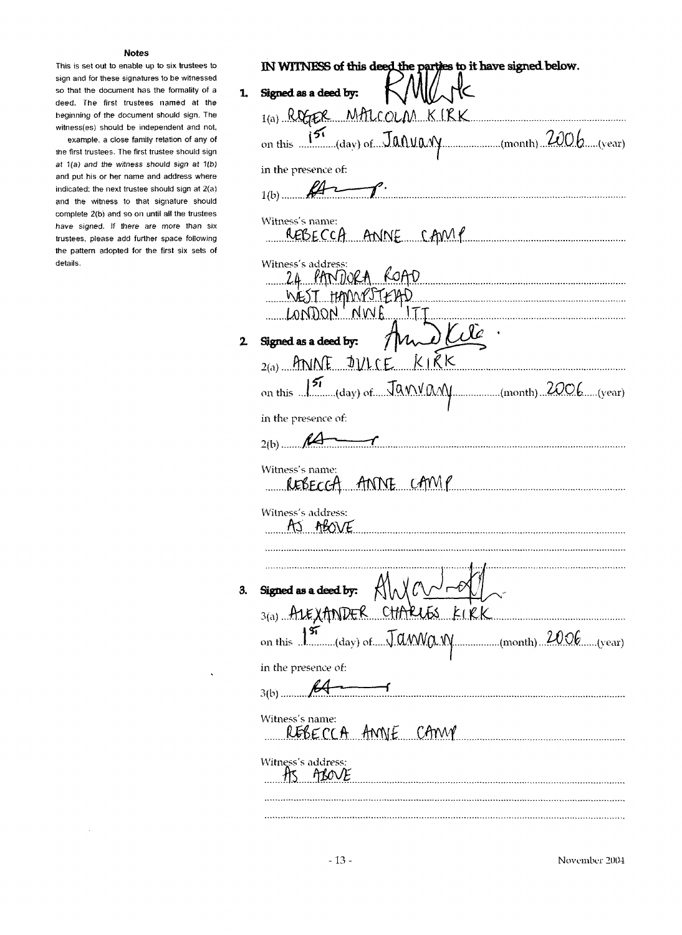This is set out to enable up to six trustees to sign and for these signatures to be witnessed so that the document has the formality of a deed. The first trustees named at the beginning of the document should sign. The witness(es) should be independent and not.

example, a close family relation of any of the first trustees. The first trustee should sign at 1(a) and the witness should sign at 1(b) and put his or her name and address where indicated; the next trustee should sign at  $2\langle a \rangle$ and the witness to that signature should complete 2(b) and so on until all the trustees have signed. If there are more than six trustees, please add further space following the pattern adopted for the first six sets of details.

| Signed as a deed by:<br>$1(a)$ REGER MALCOLM KIRK<br>on this $\overbrace{\hspace{25mm}151}^{151}$ (day) of $\overline{\hspace{2mm}J}$ $\overline{\hspace{2mm}J}$ $\overline{\hspace{2mm}J}$ $\overline{\hspace{2mm}J}$ $\overline{\hspace{2mm}J}$ $\overline{\hspace{2mm}J}$ $\overline{\hspace{2mm}J}$ $\overline{\hspace{2mm}J}$ $\overline{\hspace{2mm}J}$ $\overline{\hspace{2mm}J}$ $\overline{\hspace{2mm}J}$ $\overline{\hspace{2mm}J}$<br>in the presence of:<br>$H\rightarrow$<br>Witness's name:<br>REBECCA ANNE CAMP<br>Witness's address:<br>24 PANDORA KOAD<br>WEST HAMMPSTEAD<br>LONDON NWE ITT<br>And Cite.<br>Signed as a deed by:<br>$_{2(a)}$ ANNE DULCE KIRK<br>on this 150 (day) of Janvard Day (month) 2006 (year)<br>in the presence of:<br>$\overline{\phantom{a}}$<br>$2(b)$ $14$<br>Witness's name:<br>REBECCA ANNE CAMP<br>Witness's address:<br>AS ABOVE<br>Signed as a deed by: $\forall x \in \mathbb{R}$<br>3(a) ALEXANDER CHARLES KIRK<br>on this $\int_{\frac{\pi}{2}}^{\frac{\pi}{2}}$ (day) of $\pi$ $\pi$ and $\pi$ and $\pi$<br>(month) 2006(year)<br>in the presence of:<br>$3(b)$ .<br>Witness's name:<br>REBECCA ANNIE CAMP<br>Witness's address:<br>HNOV |    | IN WITNESS of this deed the parties to it have signed below. |
|--------------------------------------------------------------------------------------------------------------------------------------------------------------------------------------------------------------------------------------------------------------------------------------------------------------------------------------------------------------------------------------------------------------------------------------------------------------------------------------------------------------------------------------------------------------------------------------------------------------------------------------------------------------------------------------------------------------------------------------------------------------------------------------------------------------------------------------------------------------------------------------------------------------------------------------------------------------------------------------------------------------------------------------------------------------------------------------------------------------------------------------------------------------------------------------------------|----|--------------------------------------------------------------|
|                                                                                                                                                                                                                                                                                                                                                                                                                                                                                                                                                                                                                                                                                                                                                                                                                                                                                                                                                                                                                                                                                                                                                                                                  | 1, |                                                              |
|                                                                                                                                                                                                                                                                                                                                                                                                                                                                                                                                                                                                                                                                                                                                                                                                                                                                                                                                                                                                                                                                                                                                                                                                  |    |                                                              |
|                                                                                                                                                                                                                                                                                                                                                                                                                                                                                                                                                                                                                                                                                                                                                                                                                                                                                                                                                                                                                                                                                                                                                                                                  |    |                                                              |
|                                                                                                                                                                                                                                                                                                                                                                                                                                                                                                                                                                                                                                                                                                                                                                                                                                                                                                                                                                                                                                                                                                                                                                                                  |    |                                                              |
|                                                                                                                                                                                                                                                                                                                                                                                                                                                                                                                                                                                                                                                                                                                                                                                                                                                                                                                                                                                                                                                                                                                                                                                                  |    |                                                              |
|                                                                                                                                                                                                                                                                                                                                                                                                                                                                                                                                                                                                                                                                                                                                                                                                                                                                                                                                                                                                                                                                                                                                                                                                  |    |                                                              |
|                                                                                                                                                                                                                                                                                                                                                                                                                                                                                                                                                                                                                                                                                                                                                                                                                                                                                                                                                                                                                                                                                                                                                                                                  |    |                                                              |
|                                                                                                                                                                                                                                                                                                                                                                                                                                                                                                                                                                                                                                                                                                                                                                                                                                                                                                                                                                                                                                                                                                                                                                                                  |    |                                                              |
|                                                                                                                                                                                                                                                                                                                                                                                                                                                                                                                                                                                                                                                                                                                                                                                                                                                                                                                                                                                                                                                                                                                                                                                                  |    |                                                              |
|                                                                                                                                                                                                                                                                                                                                                                                                                                                                                                                                                                                                                                                                                                                                                                                                                                                                                                                                                                                                                                                                                                                                                                                                  |    |                                                              |
|                                                                                                                                                                                                                                                                                                                                                                                                                                                                                                                                                                                                                                                                                                                                                                                                                                                                                                                                                                                                                                                                                                                                                                                                  |    |                                                              |
|                                                                                                                                                                                                                                                                                                                                                                                                                                                                                                                                                                                                                                                                                                                                                                                                                                                                                                                                                                                                                                                                                                                                                                                                  |    |                                                              |
|                                                                                                                                                                                                                                                                                                                                                                                                                                                                                                                                                                                                                                                                                                                                                                                                                                                                                                                                                                                                                                                                                                                                                                                                  |    |                                                              |
|                                                                                                                                                                                                                                                                                                                                                                                                                                                                                                                                                                                                                                                                                                                                                                                                                                                                                                                                                                                                                                                                                                                                                                                                  |    |                                                              |
|                                                                                                                                                                                                                                                                                                                                                                                                                                                                                                                                                                                                                                                                                                                                                                                                                                                                                                                                                                                                                                                                                                                                                                                                  |    |                                                              |
|                                                                                                                                                                                                                                                                                                                                                                                                                                                                                                                                                                                                                                                                                                                                                                                                                                                                                                                                                                                                                                                                                                                                                                                                  |    |                                                              |
|                                                                                                                                                                                                                                                                                                                                                                                                                                                                                                                                                                                                                                                                                                                                                                                                                                                                                                                                                                                                                                                                                                                                                                                                  |    |                                                              |
|                                                                                                                                                                                                                                                                                                                                                                                                                                                                                                                                                                                                                                                                                                                                                                                                                                                                                                                                                                                                                                                                                                                                                                                                  |    |                                                              |
|                                                                                                                                                                                                                                                                                                                                                                                                                                                                                                                                                                                                                                                                                                                                                                                                                                                                                                                                                                                                                                                                                                                                                                                                  |    |                                                              |
|                                                                                                                                                                                                                                                                                                                                                                                                                                                                                                                                                                                                                                                                                                                                                                                                                                                                                                                                                                                                                                                                                                                                                                                                  |    |                                                              |
|                                                                                                                                                                                                                                                                                                                                                                                                                                                                                                                                                                                                                                                                                                                                                                                                                                                                                                                                                                                                                                                                                                                                                                                                  |    |                                                              |
|                                                                                                                                                                                                                                                                                                                                                                                                                                                                                                                                                                                                                                                                                                                                                                                                                                                                                                                                                                                                                                                                                                                                                                                                  |    |                                                              |
|                                                                                                                                                                                                                                                                                                                                                                                                                                                                                                                                                                                                                                                                                                                                                                                                                                                                                                                                                                                                                                                                                                                                                                                                  |    |                                                              |
|                                                                                                                                                                                                                                                                                                                                                                                                                                                                                                                                                                                                                                                                                                                                                                                                                                                                                                                                                                                                                                                                                                                                                                                                  |    |                                                              |
|                                                                                                                                                                                                                                                                                                                                                                                                                                                                                                                                                                                                                                                                                                                                                                                                                                                                                                                                                                                                                                                                                                                                                                                                  |    |                                                              |

 $\ddot{\phantom{0}}$ 

 $\ddot{\phantom{0}}$